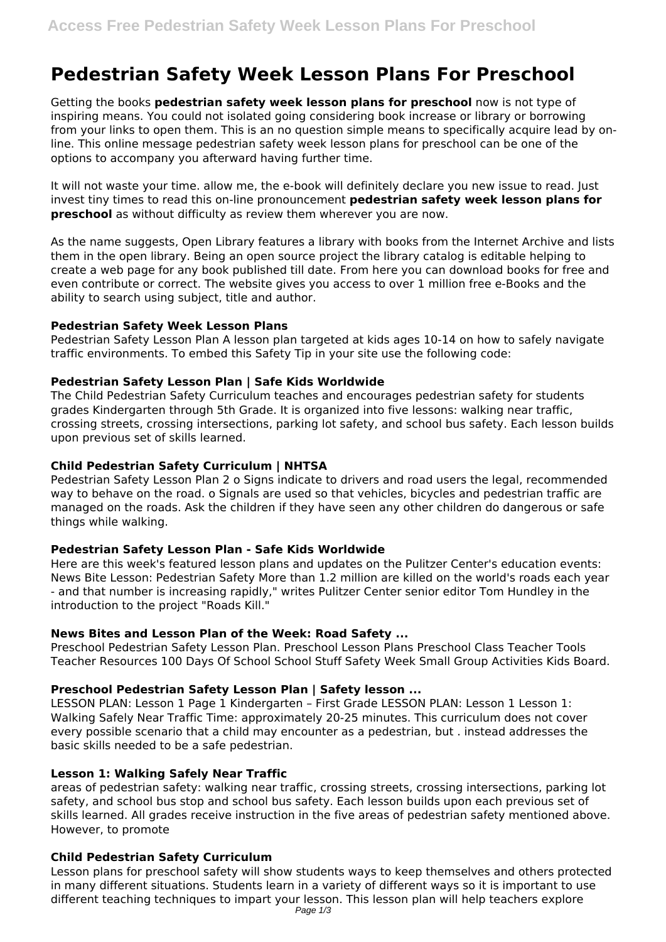# **Pedestrian Safety Week Lesson Plans For Preschool**

Getting the books **pedestrian safety week lesson plans for preschool** now is not type of inspiring means. You could not isolated going considering book increase or library or borrowing from your links to open them. This is an no question simple means to specifically acquire lead by online. This online message pedestrian safety week lesson plans for preschool can be one of the options to accompany you afterward having further time.

It will not waste your time. allow me, the e-book will definitely declare you new issue to read. Just invest tiny times to read this on-line pronouncement **pedestrian safety week lesson plans for preschool** as without difficulty as review them wherever you are now.

As the name suggests, Open Library features a library with books from the Internet Archive and lists them in the open library. Being an open source project the library catalog is editable helping to create a web page for any book published till date. From here you can download books for free and even contribute or correct. The website gives you access to over 1 million free e-Books and the ability to search using subject, title and author.

## **Pedestrian Safety Week Lesson Plans**

Pedestrian Safety Lesson Plan A lesson plan targeted at kids ages 10-14 on how to safely navigate traffic environments. To embed this Safety Tip in your site use the following code:

## **Pedestrian Safety Lesson Plan | Safe Kids Worldwide**

The Child Pedestrian Safety Curriculum teaches and encourages pedestrian safety for students grades Kindergarten through 5th Grade. It is organized into five lessons: walking near traffic, crossing streets, crossing intersections, parking lot safety, and school bus safety. Each lesson builds upon previous set of skills learned.

## **Child Pedestrian Safety Curriculum | NHTSA**

Pedestrian Safety Lesson Plan 2 o Signs indicate to drivers and road users the legal, recommended way to behave on the road. o Signals are used so that vehicles, bicycles and pedestrian traffic are managed on the roads. Ask the children if they have seen any other children do dangerous or safe things while walking.

#### **Pedestrian Safety Lesson Plan - Safe Kids Worldwide**

Here are this week's featured lesson plans and updates on the Pulitzer Center's education events: News Bite Lesson: Pedestrian Safety More than 1.2 million are killed on the world's roads each year - and that number is increasing rapidly," writes Pulitzer Center senior editor Tom Hundley in the introduction to the project "Roads Kill."

#### **News Bites and Lesson Plan of the Week: Road Safety ...**

Preschool Pedestrian Safety Lesson Plan. Preschool Lesson Plans Preschool Class Teacher Tools Teacher Resources 100 Days Of School School Stuff Safety Week Small Group Activities Kids Board.

# **Preschool Pedestrian Safety Lesson Plan | Safety lesson ...**

LESSON PLAN: Lesson 1 Page 1 Kindergarten - First Grade LESSON PLAN: Lesson 1 Lesson 1: Walking Safely Near Traffic Time: approximately 20-25 minutes. This curriculum does not cover every possible scenario that a child may encounter as a pedestrian, but . instead addresses the basic skills needed to be a safe pedestrian.

### **Lesson 1: Walking Safely Near Traffic**

areas of pedestrian safety: walking near traffic, crossing streets, crossing intersections, parking lot safety, and school bus stop and school bus safety. Each lesson builds upon each previous set of skills learned. All grades receive instruction in the five areas of pedestrian safety mentioned above. However, to promote

#### **Child Pedestrian Safety Curriculum**

Lesson plans for preschool safety will show students ways to keep themselves and others protected in many different situations. Students learn in a variety of different ways so it is important to use different teaching techniques to impart your lesson. This lesson plan will help teachers explore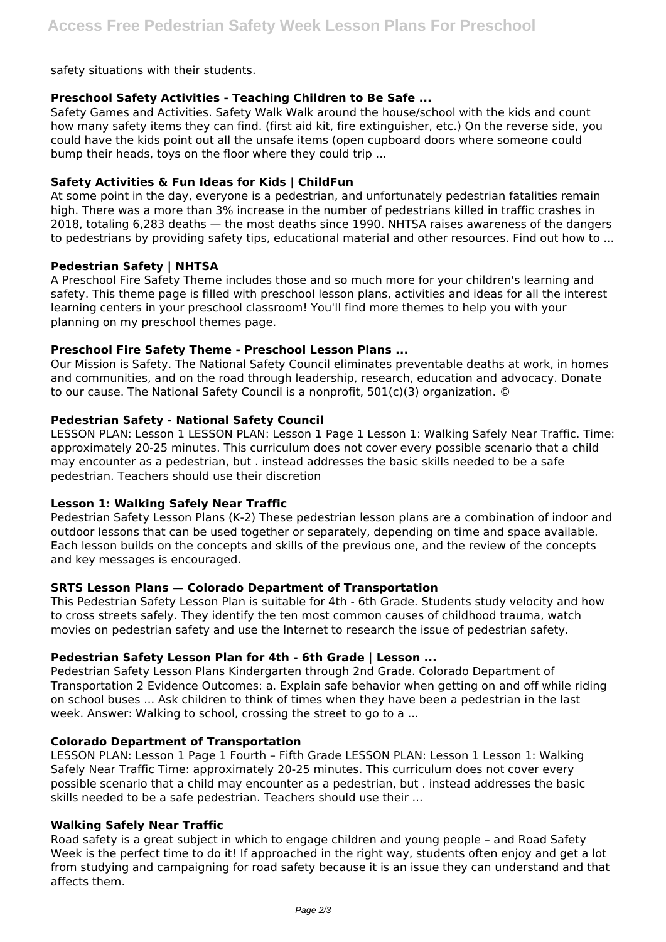safety situations with their students.

## **Preschool Safety Activities - Teaching Children to Be Safe ...**

Safety Games and Activities. Safety Walk Walk around the house/school with the kids and count how many safety items they can find. (first aid kit, fire extinguisher, etc.) On the reverse side, you could have the kids point out all the unsafe items (open cupboard doors where someone could bump their heads, toys on the floor where they could trip ...

## **Safety Activities & Fun Ideas for Kids | ChildFun**

At some point in the day, everyone is a pedestrian, and unfortunately pedestrian fatalities remain high. There was a more than 3% increase in the number of pedestrians killed in traffic crashes in 2018, totaling 6,283 deaths — the most deaths since 1990. NHTSA raises awareness of the dangers to pedestrians by providing safety tips, educational material and other resources. Find out how to ...

## **Pedestrian Safety | NHTSA**

A Preschool Fire Safety Theme includes those and so much more for your children's learning and safety. This theme page is filled with preschool lesson plans, activities and ideas for all the interest learning centers in your preschool classroom! You'll find more themes to help you with your planning on my preschool themes page.

## **Preschool Fire Safety Theme - Preschool Lesson Plans ...**

Our Mission is Safety. The National Safety Council eliminates preventable deaths at work, in homes and communities, and on the road through leadership, research, education and advocacy. Donate to our cause. The National Safety Council is a nonprofit, 501(c)(3) organization. ©

## **Pedestrian Safety - National Safety Council**

LESSON PLAN: Lesson 1 LESSON PLAN: Lesson 1 Page 1 Lesson 1: Walking Safely Near Traffic. Time: approximately 20-25 minutes. This curriculum does not cover every possible scenario that a child may encounter as a pedestrian, but . instead addresses the basic skills needed to be a safe pedestrian. Teachers should use their discretion

### **Lesson 1: Walking Safely Near Traffic**

Pedestrian Safety Lesson Plans (K-2) These pedestrian lesson plans are a combination of indoor and outdoor lessons that can be used together or separately, depending on time and space available. Each lesson builds on the concepts and skills of the previous one, and the review of the concepts and key messages is encouraged.

### **SRTS Lesson Plans — Colorado Department of Transportation**

This Pedestrian Safety Lesson Plan is suitable for 4th - 6th Grade. Students study velocity and how to cross streets safely. They identify the ten most common causes of childhood trauma, watch movies on pedestrian safety and use the Internet to research the issue of pedestrian safety.

#### **Pedestrian Safety Lesson Plan for 4th - 6th Grade | Lesson ...**

Pedestrian Safety Lesson Plans Kindergarten through 2nd Grade. Colorado Department of Transportation 2 Evidence Outcomes: a. Explain safe behavior when getting on and off while riding on school buses ... Ask children to think of times when they have been a pedestrian in the last week. Answer: Walking to school, crossing the street to go to a ...

### **Colorado Department of Transportation**

LESSON PLAN: Lesson 1 Page 1 Fourth - Fifth Grade LESSON PLAN: Lesson 1 Lesson 1: Walking Safely Near Traffic Time: approximately 20-25 minutes. This curriculum does not cover every possible scenario that a child may encounter as a pedestrian, but . instead addresses the basic skills needed to be a safe pedestrian. Teachers should use their ...

#### **Walking Safely Near Traffic**

Road safety is a great subject in which to engage children and young people – and Road Safety Week is the perfect time to do it! If approached in the right way, students often enjoy and get a lot from studying and campaigning for road safety because it is an issue they can understand and that affects them.